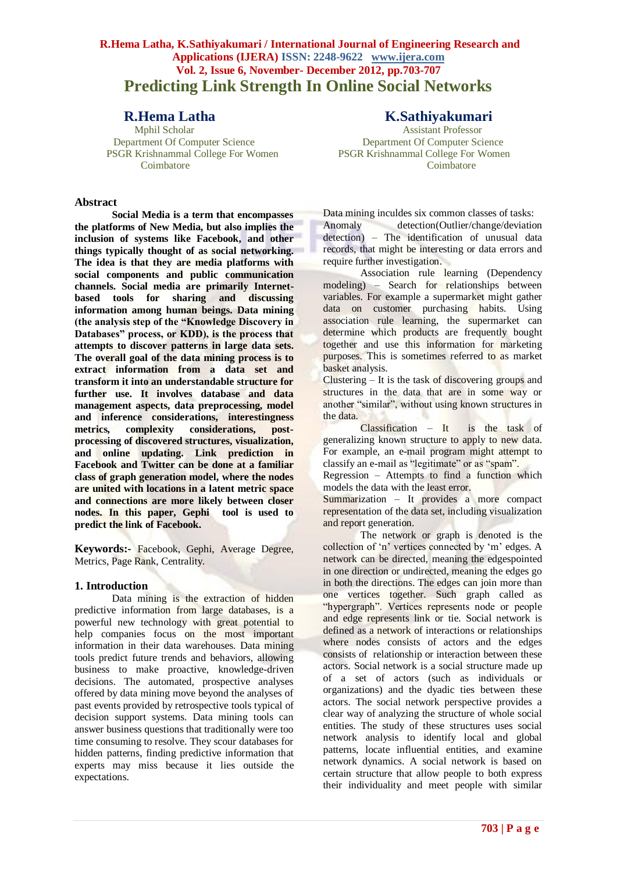# **R.Hema Latha, K.Sathiyakumari / International Journal of Engineering Research and Applications (IJERA) ISSN: 2248-9622 www.ijera.com Vol. 2, Issue 6, November- December 2012, pp.703-707 Predicting Link Strength In Online Social Networks**

PSGR Krishnammal College For Women PSGR Krishnammal College For Women Coimbatore Coimbatore

# **Abstract**

**Social Media is a term that encompasses the platforms of New Media, but also implies the inclusion of systems like Facebook, and other things typically thought of as social networking. The idea is that they are media platforms with social components and public communication channels. Social media are primarily Internetbased tools for sharing and discussing information among human beings. Data mining (the analysis step of the "Knowledge Discovery in Databases" process, or KDD), is the process that attempts to discover patterns in large data sets. The overall goal of the data mining process is to extract information from a data set and transform it into an understandable structure for further use. It involves database and data management aspects, data preprocessing, model and inference considerations, interestingness metrics, complexity considerations, postprocessing of discovered structures, visualization, and online updating. Link prediction in Facebook and Twitter can be done at a familiar class of graph generation model, where the nodes are united with locations in a latent metric space and connections are more likely between closer nodes. In this paper, Gephi tool is used to predict the link of Facebook.** 

**Keywords:-** Facebook, Gephi, Average Degree, Metrics, Page Rank, Centrality.

#### **1. Introduction**

Data mining is the extraction of hidden predictive information from large databases, is a powerful new technology with great potential to help companies focus on the most important information in their data warehouses. Data mining tools predict future trends and behaviors, allowing business to make proactive, knowledge-driven decisions. The automated, prospective analyses offered by data mining move beyond the analyses of past events provided by retrospective tools typical of decision support systems. Data mining tools can answer business questions that traditionally were too time consuming to resolve. They scour databases for hidden patterns, finding predictive information that experts may miss because it lies outside the expectations.

**R.Hema Latha K.Sathiyakumari**<br> **K.Sathiyakumari**<br> **K.Sathiyakumari** Assistant Professor Department Of Computer Science Department Of Computer Science

Data mining inculdes six common classes of tasks:

Anomaly detection(Outlier/change/deviation detection) – The identification of unusual data records, that might be interesting or data errors and require further investigation.

Association rule learning (Dependency modeling) – Search for relationships between variables. For example a supermarket might gather data on customer purchasing habits. Using association rule learning, the supermarket can determine which products are frequently bought together and use this information for marketing purposes. This is sometimes referred to as market basket analysis.

Clustering – It is the task of discovering groups and structures in the data that are in some way or another "similar", without using known structures in the data.

Classification – It is the task of generalizing known structure to apply to new data. For example, an e-mail program might attempt to classify an e-mail as "legitimate" or as "spam".

Regression – Attempts to find a function which models the data with the least error.

Summarization – It provides a more compact representation of the data set, including visualization and report generation.

The network or graph is denoted is the collection of 'n' vertices connected by 'm' edges. A network can be directed, meaning the edgespointed in one direction or undirected, meaning the edges go in both the directions. The edges can join more than one vertices together. Such graph called as "hypergraph". Vertices represents node or people and edge represents link or tie. Social network is defined as a network of interactions or relationships where nodes consists of actors and the edges consists of relationship or interaction between these actors. Social network is a social structure made up of a set of actors (such as individuals or organizations) and the dyadic ties between these actors. The social network perspective provides a clear way of analyzing the structure of whole social entities. The study of these structures uses social network analysis to identify local and global patterns, locate influential entities, and examine network dynamics. A social network is based on certain structure that allow people to both express their individuality and meet people with similar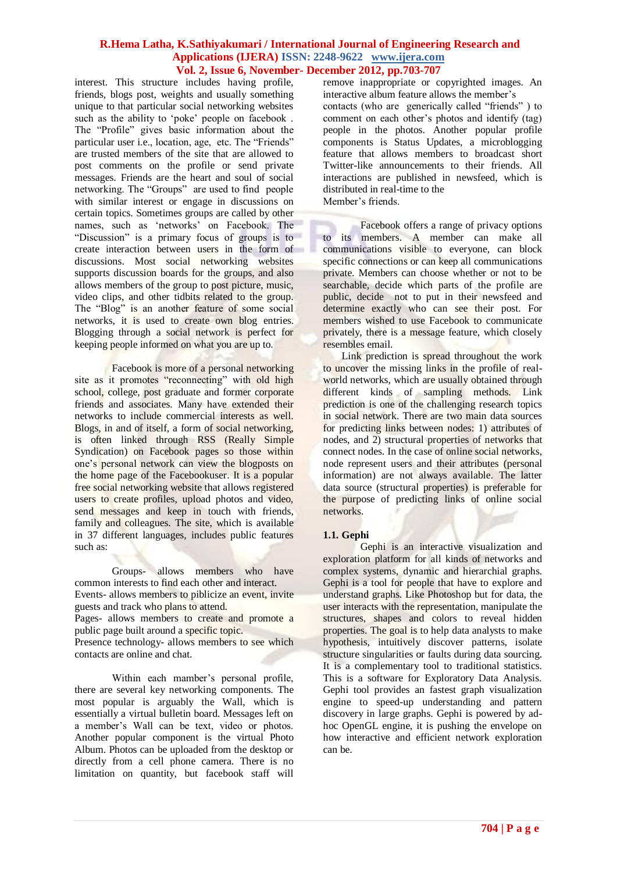interest. This structure includes having profile, friends, blogs post, weights and usually something unique to that particular social networking websites such as the ability to 'poke' people on facebook. The "Profile" gives basic information about the particular user i.e., location, age, etc. The "Friends" are trusted members of the site that are allowed to post comments on the profile or send private messages. Friends are the heart and soul of social networking. The "Groups" are used to find people with similar interest or engage in discussions on certain topics. Sometimes groups are called by other names, such as "networks" on Facebook. The "Discussion" is a primary focus of groups is to create interaction between users in the form of discussions. Most social networking websites supports discussion boards for the groups, and also allows members of the group to post picture, music, video clips, and other tidbits related to the group. The "Blog" is an another feature of some social networks, it is used to create own blog entries. Blogging through a social network is perfect for keeping people informed on what you are up to.

Facebook is more of a personal networking site as it promotes "reconnecting" with old high school, college, post graduate and former corporate friends and associates. Many have extended their networks to include commercial interests as well. Blogs, in and of itself, a form of social networking, is often linked through RSS (Really Simple Syndication) on Facebook pages so those within one"s personal network can view the blogposts on the home page of the Facebookuser. It is a popular free social networking website that allows registered users to create profiles, upload photos and video, send messages and keep in touch with friends, family and colleagues. The site, which is available in 37 different languages, includes public features such as:

Groups- allows members who have common interests to find each other and interact. Events- allows members to piblicize an event, invite guests and track who plans to attend.

Pages- allows members to create and promote a public page built around a specific topic.

Presence technology- allows members to see which contacts are online and chat.

Within each mamber"s personal profile, there are several key networking components. The most popular is arguably the Wall, which is essentially a virtual bulletin board. Messages left on a member"s Wall can be text, video or photos. Another popular component is the virtual Photo Album. Photos can be uploaded from the desktop or directly from a cell phone camera. There is no limitation on quantity, but facebook staff will remove inappropriate or copyrighted images. An interactive album feature allows the member"s

contacts (who are generically called "friends" ) to comment on each other"s photos and identify (tag) people in the photos. Another popular profile components is Status Updates, a microblogging feature that allows members to broadcast short Twitter-like announcements to their friends. All interactions are published in newsfeed, which is distributed in real-time to the Member's friends.

Facebook offers a range of privacy options to its members. A member can make all communications visible to everyone, can block specific connections or can keep all communications private. Members can choose whether or not to be searchable, decide which parts of the profile are public, decide not to put in their newsfeed and determine exactly who can see their post. For members wished to use Facebook to communicate privately, there is a message feature, which closely resembles email.

Link prediction is spread throughout the work to uncover the missing links in the profile of realworld networks, which are usually obtained through different kinds of sampling methods. Link prediction is one of the challenging research topics in social network. There are two main data sources for predicting links between nodes: 1) attributes of nodes, and 2) structural properties of networks that connect nodes. In the case of online social networks, node represent users and their attributes (personal information) are not always available. The latter data source (structural properties) is preferable for the purpose of predicting links of online social networks.

# **1.1. Gephi**

Gephi is an interactive visualization and exploration platform for all kinds of networks and complex systems, dynamic and hierarchial graphs. Gephi is a tool for people that have to explore and understand graphs. Like Photoshop but for data, the user interacts with the representation, manipulate the structures, shapes and colors to reveal hidden properties. The goal is to help data analysts to make hypothesis, intuitively discover patterns, isolate structure singularities or faults during data sourcing. It is a complementary tool to traditional statistics. This is a software for Exploratory Data Analysis. Gephi tool provides an fastest graph visualization engine to speed-up understanding and pattern discovery in large graphs. Gephi is powered by adhoc OpenGL engine, it is pushing the envelope on how interactive and efficient network exploration can be.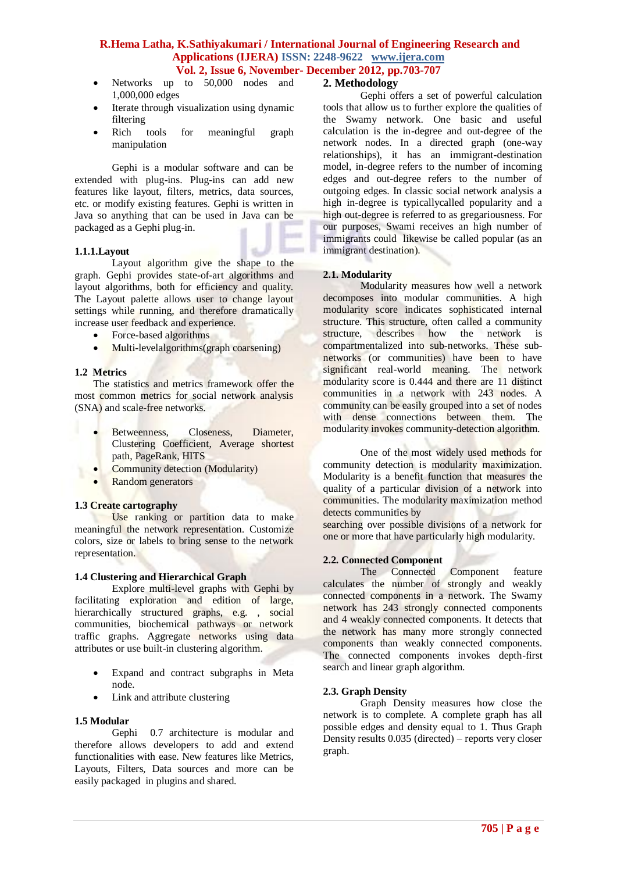- Networks up to 50,000 nodes and
- 1,000,000 edges
- Iterate through visualization using dynamic filtering
- Rich tools for meaningful graph manipulation

Gephi is a modular software and can be extended with plug-ins. Plug-ins can add new features like layout, filters, metrics, data sources, etc. or modify existing features. Gephi is written in Java so anything that can be used in Java can be packaged as a Gephi plug-in.

#### **1.1.1.Layout**

Layout algorithm give the shape to the graph. Gephi provides state-of-art algorithms and layout algorithms, both for efficiency and quality. The Layout palette allows user to change layout settings while running, and therefore dramatically increase user feedback and experience.

- Force-based algorithms
- Multi-levelalgorithms(graph coarsening)

#### **1.2 Metrics**

The statistics and metrics framework offer the most common metrics for social network analysis (SNA) and scale-free networks.

- Betweenness, Closeness, Diameter, Clustering Coefficient, Average shortest path, PageRank, HITS
- Community detection (Modularity)
- Random generators

### **1.3 Create cartography**

Use ranking or partition data to make meaningful the network representation. Customize colors, size or labels to bring sense to the network representation.

### **1.4 Clustering and Hierarchical Graph**

Explore multi-level graphs with Gephi by facilitating exploration and edition of large, hierarchically structured graphs, e.g., social communities, biochemical pathways or network traffic graphs. Aggregate networks using data attributes or use built-in clustering algorithm.

- Expand and contract subgraphs in Meta node.
- Link and attribute clustering

#### **1.5 Modular**

Gephi 0.7 architecture is modular and therefore allows developers to add and extend functionalities with ease. New features like Metrics, Layouts, Filters, Data sources and more can be easily packaged in plugins and shared.

# **2. Methodology**

Gephi offers a set of powerful calculation tools that allow us to further explore the qualities of the Swamy network. One basic and useful calculation is the in-degree and out-degree of the network nodes. In a directed graph (one-way relationships), it has an immigrant-destination model, in-degree refers to the number of incoming edges and out-degree refers to the number of outgoing edges. In classic social network analysis a high in-degree is typicallycalled popularity and a high out-degree is referred to as gregariousness. For our purposes, Swami receives an high number of immigrants could likewise be called popular (as an immigrant destination).

#### **2.1. Modularity**

Modularity measures how well a network decomposes into modular communities. A high modularity score indicates sophisticated internal structure. This structure, often called a community structure, describes how the network is compartmentalized into sub-networks. These subnetworks (or communities) have been to have significant real-world meaning. The network modularity score is 0.444 and there are 11 distinct communities in a network with 243 nodes. A community can be easily grouped into a set of nodes with dense connections between them. The modularity invokes community-detection algorithm.

One of the most widely used methods for community detection is modularity maximization. Modularity is a benefit function that measures the quality of a particular division of a network into communities. The modularity maximization method detects communities by searching over possible divisions of a network for

one or more that have particularly high modularity.

#### **2.2. Connected Component**

The Connected Component feature calculates the number of strongly and weakly connected components in a network. The Swamy network has 243 strongly connected components and 4 weakly connected components. It detects that the network has many more strongly connected components than weakly connected components. The connected components invokes depth-first search and linear graph algorithm.

#### **2.3. Graph Density**

Graph Density measures how close the network is to complete. A complete graph has all possible edges and density equal to 1. Thus Graph Density results 0.035 (directed) – reports very closer graph.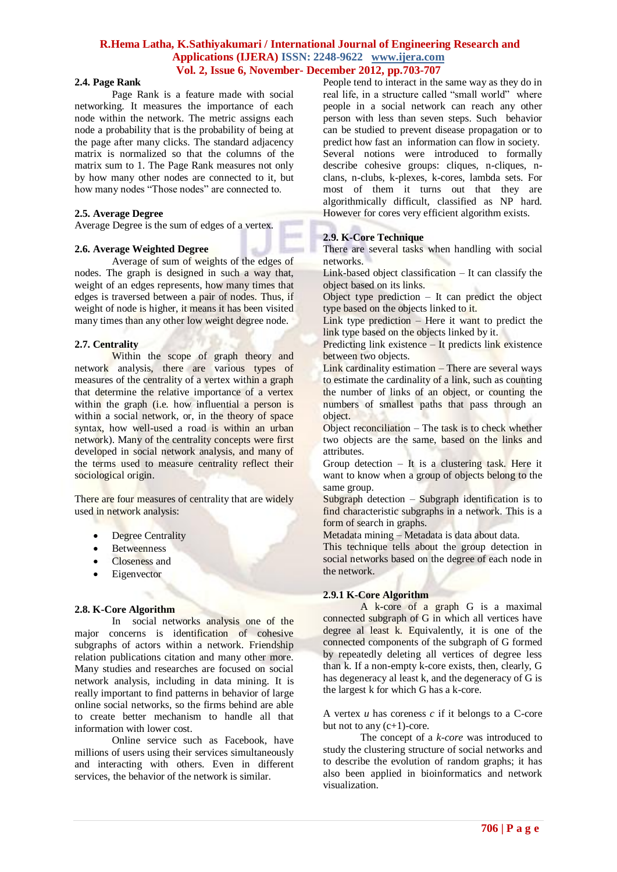#### **2.4. Page Rank**

Page Rank is a feature made with social networking. It measures the importance of each node within the network. The metric assigns each node a probability that is the probability of being at the page after many clicks. The standard adjacency matrix is normalized so that the columns of the matrix sum to 1. The Page Rank measures not only by how many other nodes are connected to it, but how many nodes "Those nodes" are connected to.

### **2.5. Average Degree**

Average Degree is the sum of edges of a vertex.

#### **2.6. Average Weighted Degree**

Average of sum of weights of the edges of nodes. The graph is designed in such a way that, weight of an edges represents, how many times that edges is traversed between a pair of nodes. Thus, if weight of node is higher, it means it has been visited many times than any other low weight degree node.

#### **2.7. Centrality**

Within the scope of graph theory and network analysis, there are various types of measures of the centrality of a vertex within a graph that determine the relative importance of a vertex within the graph (i.e. how influential a person is within a social network, or, in the theory of space syntax, how well-used a road is within an urban network). Many of the centrality concepts were first developed in social network analysis, and many of the terms used to measure centrality reflect their sociological origin.

There are four measures of centrality that are widely used in network analysis:

- Degree Centrality
- Betweenness
- Closeness and
- Eigenvector

#### **2.8. K-Core Algorithm**

In social networks analysis one of the major concerns is identification of cohesive subgraphs of actors within a network. Friendship relation publications citation and many other more. Many studies and researches are focused on social network analysis, including in data mining. It is really important to find patterns in behavior of large online social networks, so the firms behind are able to create better mechanism to handle all that information with lower cost.

Online service such as Facebook, have millions of users using their services simultaneously and interacting with others. Even in different services, the behavior of the network is similar.

People tend to interact in the same way as they do in real life, in a structure called "small world" where people in a social network can reach any other person with less than seven steps. Such behavior can be studied to prevent disease propagation or to predict how fast an information can flow in society. Several notions were introduced to formally describe cohesive groups: cliques, n-cliques, nclans, n-clubs, k-plexes, k-cores, lambda sets. For most of them it turns out that they are algorithmically difficult, classified as NP hard. However for cores very efficient algorithm exists.

#### **2.9. K-Core Technique**

There are several tasks when handling with social networks.

Link-based object classification – It can classify the object based on its links.

Object type prediction – It can predict the object type based on the objects linked to it.

Link type prediction – Here it want to predict the link type based on the objects linked by it.

Predicting link existence – It predicts link existence between two objects.

Link cardinality estimation – There are several ways to estimate the cardinality of a link, such as counting the number of links of an object, or counting the numbers of smallest paths that pass through an object.

Object reconciliation – The task is to check whether two objects are the same, based on the links and attributes.

Group detection  $-$  It is a clustering task. Here it want to know when a group of objects belong to the same group.

Subgraph detection – Subgraph identification is to find characteristic subgraphs in a network. This is a form of search in graphs.

Metadata mining – Metadata is data about data.

This technique tells about the group detection in social networks based on the degree of each node in the network.

# **2.9.1 K-Core Algorithm**

A k-core of a graph G is a maximal connected subgraph of G in which all vertices have degree al least k. Equivalently, it is one of the connected components of the subgraph of G formed by repeatedly deleting all vertices of degree less than k. If a non-empty k-core exists, then, clearly, G has degeneracy al least k, and the degeneracy of G is the largest k for which G has a k-core.

A vertex *u* has coreness *c* if it belongs to a C-core but not to any  $(c+1)$ -core.

The concept of a *k-core* was introduced to study the clustering structure of social networks and to describe the evolution of random graphs; it has also been applied in bioinformatics and network visualization.